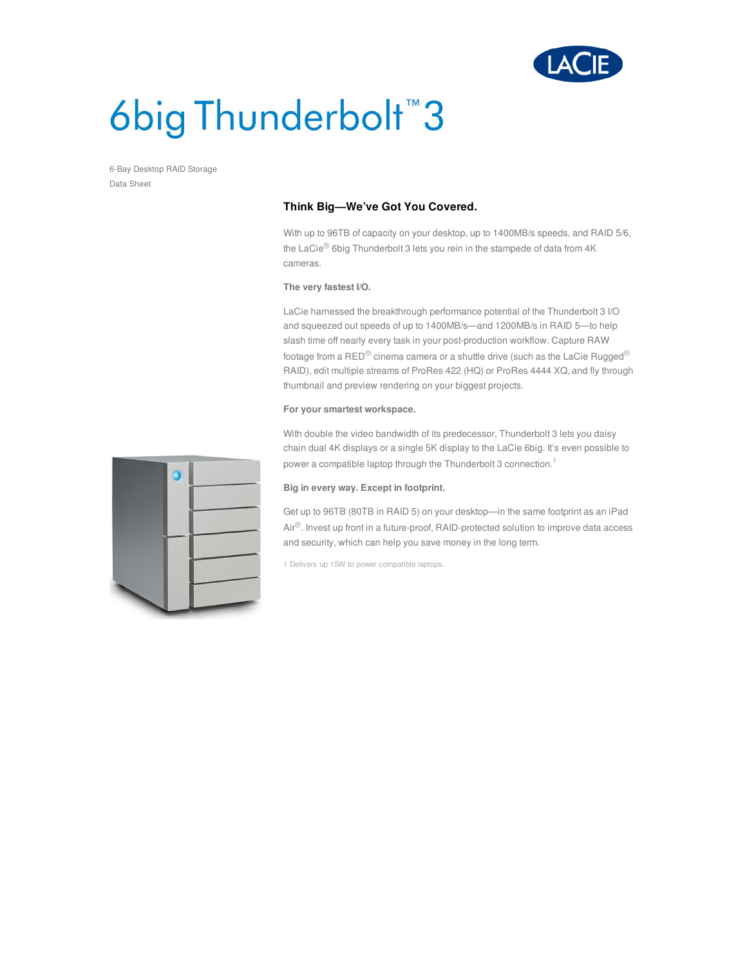

# 6big Thunderbolt<sup>™</sup>3

6-Bay Desktop RAID Storage Data Sheet

## **Think Big—We've Got You Covered.**

With up to 96TB of capacity on your desktop, up to 1400MB/s speeds, and RAID 5/6, the LaCie<sup>®</sup> 6big Thunderbolt 3 lets you rein in the stampede of data from 4K cameras.

#### **The very fastest I/O.**

LaCie harnessed the breakthrough performance potential of the Thunderbolt 3 I/O and squeezed out speeds of up to 1400MB/s—and 1200MB/s in RAID 5—to help slash time off nearly every task in your post-production workflow. Capture RAW footage from a RED $^\circledR$  cinema camera or a shuttle drive (such as the LaCie Rugged $^\circledR$ RAID), edit multiple streams of ProRes 422 (HQ) or ProRes 4444 XQ, and fly through thumbnail and preview rendering on your biggest projects.

### **For your smartest workspace.**

With double the video bandwidth of its predecessor, Thunderbolt 3 lets you daisy chain dual 4K displays or a single 5K display to the LaCie 6big. It's even possible to power a compatible laptop through the Thunderbolt 3 connection.<sup>1</sup>

### **Big in every way. Except in footprint.**

Get up to 96TB (80TB in RAID 5) on your desktop—in the same footprint as an iPad Air<sup>®</sup>. Invest up front in a future-proof, RAID-protected solution to improve data access and security, which can help you save money in the long term.

1 Delivers up 15W to power compatible laptops.